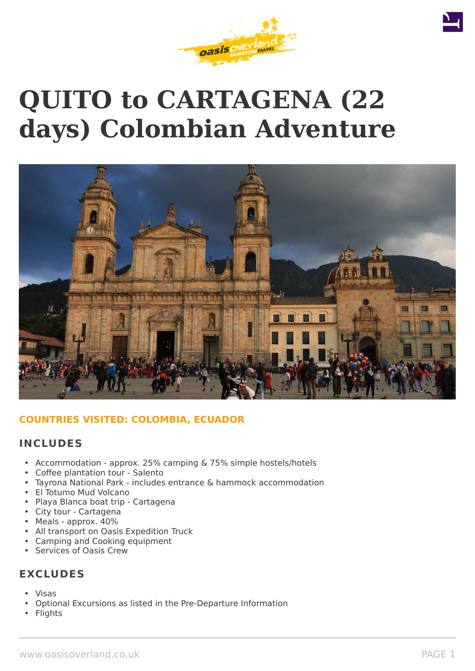# **QUITO to CARTAGENA (22 days) Colombian Adventure**



# **COUNTRIES VISITED: COLOMBIA, ECUADOR**

# **INCLUDES**

- Accommodation approx. 25% camping & 75% simple hostels/hotels
- Coffee plantation tour Salento
- Tayrona National Park includes entrance & hammock accommodation
- El Totumo Mud Volcano
- Playa Blanca boat trip Cartagena
- City tour Cartagena
- Meals approx. 40%
- All transport on Oasis Expedition Truck
- Camping and Cooking equipment
- Services of Oasis Crew

# **EXCLUDES**

- Visas
- Optional Excursions as listed in the Pre-Departure Information
- **Flights**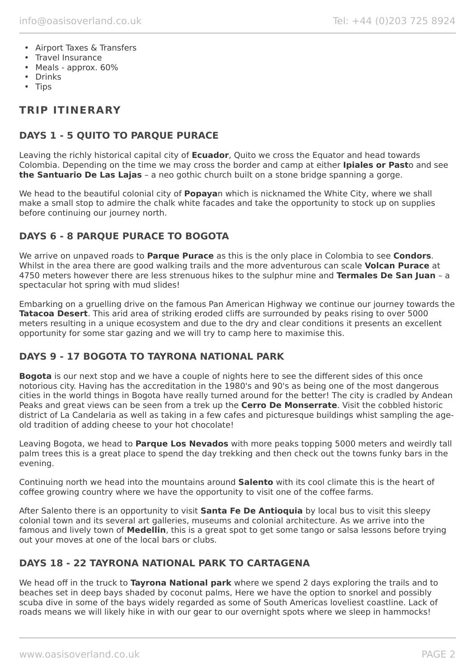- Airport Taxes & Transfers
- Travel Insurance
- Meals approx. 60%
- Drinks
- Tips

# **TRIP ITINERARY**

# **DAYS 1 - 5 QUITO TO PARQUE PURACE**

Leaving the richly historical capital city of **Ecuador**, Quito we cross the Equator and head towards Colombia. Depending on the time we may cross the border and camp at either **Ipiales or Past**o and see **the Santuario De Las Lajas** – a neo gothic church built on a stone bridge spanning a gorge.

We head to the beautiful colonial city of **Popaya**n which is nicknamed the White City, where we shall make a small stop to admire the chalk white facades and take the opportunity to stock up on supplies before continuing our journey north.

# **DAYS 6 - 8 PARQUE PURACE TO BOGOTA**

We arrive on unpaved roads to **Parque Purace** as this is the only place in Colombia to see **Condors**. Whilst in the area there are good walking trails and the more adventurous can scale **Volcan Purace** at 4750 meters however there are less strenuous hikes to the sulphur mine and **Termales De San Juan** – a spectacular hot spring with mud slides!

Embarking on a gruelling drive on the famous Pan American Highway we continue our journey towards the **Tatacoa Desert**. This arid area of striking eroded cliffs are surrounded by peaks rising to over 5000 meters resulting in a unique ecosystem and due to the dry and clear conditions it presents an excellent opportunity for some star gazing and we will try to camp here to maximise this.

# **DAYS 9 - 17 BOGOTA TO TAYRONA NATIONAL PARK**

**Bogota** is our next stop and we have a couple of nights here to see the different sides of this once notorious city. Having has the accreditation in the 1980's and 90's as being one of the most dangerous cities in the world things in Bogota have really turned around for the better! The city is cradled by Andean Peaks and great views can be seen from a trek up the **Cerro De Monserrate**. Visit the cobbled historic district of La Candelaria as well as taking in a few cafes and picturesque buildings whist sampling the ageold tradition of adding cheese to your hot chocolate!

Leaving Bogota, we head to **Parque Los Nevados** with more peaks topping 5000 meters and weirdly tall palm trees this is a great place to spend the day trekking and then check out the towns funky bars in the evening.

Continuing north we head into the mountains around **Salento** with its cool climate this is the heart of coffee growing country where we have the opportunity to visit one of the coffee farms.

After Salento there is an opportunity to visit **Santa Fe De Antioquia** by local bus to visit this sleepy colonial town and its several art galleries, museums and colonial architecture. As we arrive into the famous and lively town of **Medellin**, this is a great spot to get some tango or salsa lessons before trying out your moves at one of the local bars or clubs.

# **DAYS 18 - 22 TAYRONA NATIONAL PARK TO CARTAGENA**

We head off in the truck to **Tayrona National park** where we spend 2 days exploring the trails and to beaches set in deep bays shaded by coconut palms, Here we have the option to snorkel and possibly scuba dive in some of the bays widely regarded as some of South Americas loveliest coastline. Lack of roads means we will likely hike in with our gear to our overnight spots where we sleep in hammocks!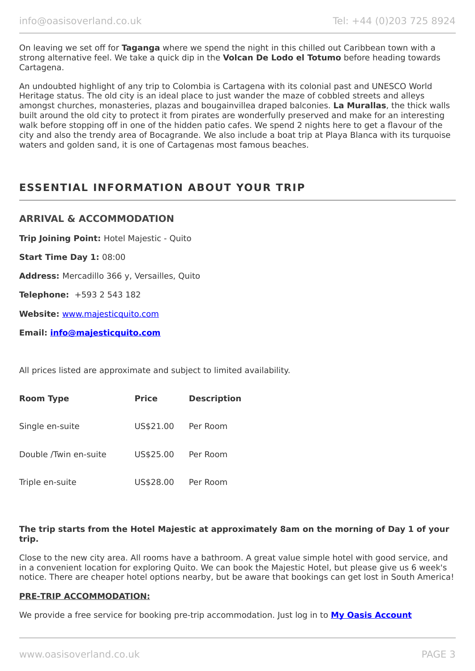On leaving we set off for **Taganga** where we spend the night in this chilled out Caribbean town with a strong alternative feel. We take a quick dip in the **Volcan De Lodo el Totumo** before heading towards Cartagena.

An undoubted highlight of any trip to Colombia is Cartagena with its colonial past and UNESCO World Heritage status. The old city is an ideal place to just wander the maze of cobbled streets and alleys amongst churches, monasteries, plazas and bougainvillea draped balconies. **La Murallas**, the thick walls built around the old city to protect it from pirates are wonderfully preserved and make for an interesting walk before stopping off in one of the hidden patio cafes. We spend 2 nights here to get a flavour of the city and also the trendy area of Bocagrande. We also include a boat trip at Playa Blanca with its turquoise waters and golden sand, it is one of Cartagenas most famous beaches.

# **ESSENTIAL INFORMATION ABOUT YOUR TRIP**

## **ARRIVAL & ACCOMMODATION**

**Trip Joining Point:** Hotel Majestic - Quito

**Start Time Day 1:** 08:00

**Address:** Mercadillo 366 y, Versailles, Quito

**Telephone:** +593 2 543 182

**Website:** [www.majesticquito.com](http://www.majesticquito.com/)

**Email: [info@majesticquito.com](mailto:info@majesticquito.com)**

All prices listed are approximate and subject to limited availability.

| <b>Room Type</b>      | <b>Price</b> | <b>Description</b> |
|-----------------------|--------------|--------------------|
| Single en-suite       | US\$21.00    | Per Room           |
| Double /Twin en-suite | US\$25.00    | Per Room           |
| Triple en-suite       | US\$28.00    | Per Room           |

#### **The trip starts from the Hotel Majestic at approximately 8am on the morning of Day 1 of your trip.**

Close to the new city area. All rooms have a bathroom. A great value simple hotel with good service, and in a convenient location for exploring Quito. We can book the Majestic Hotel, but please give us 6 week's notice. There are cheaper hotel options nearby, but be aware that bookings can get lost in South America!

#### **PRE-TRIP ACCOMMODATION:**

We provide a free service for booking pre-trip accommodation. Just log in to **[My Oasis Account](https://oasisportal.eecsoftware.com/login.php)**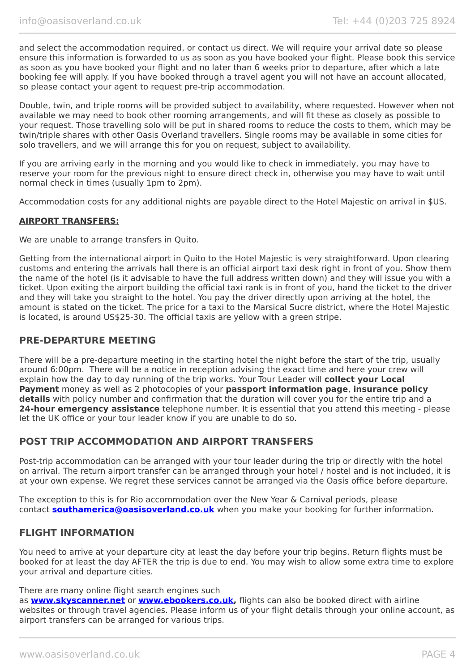and select the accommodation required, or contact us direct. We will require your arrival date so please ensure this information is forwarded to us as soon as you have booked your flight. Please book this service as soon as you have booked your flight and no later than 6 weeks prior to departure, after which a late booking fee will apply. If you have booked through a travel agent you will not have an account allocated, so please contact your agent to request pre-trip accommodation.

Double, twin, and triple rooms will be provided subject to availability, where requested. However when not available we may need to book other rooming arrangements, and will fit these as closely as possible to your request. Those travelling solo will be put in shared rooms to reduce the costs to them, which may be twin/triple shares with other Oasis Overland travellers. Single rooms may be available in some cities for solo travellers, and we will arrange this for you on request, subject to availability.

If you are arriving early in the morning and you would like to check in immediately, you may have to reserve your room for the previous night to ensure direct check in, otherwise you may have to wait until normal check in times (usually 1pm to 2pm).

Accommodation costs for any additional nights are payable direct to the Hotel Majestic on arrival in \$US.

#### **AIRPORT TRANSFERS:**

We are unable to arrange transfers in Quito.

Getting from the international airport in Quito to the Hotel Majestic is very straightforward. Upon clearing customs and entering the arrivals hall there is an official airport taxi desk right in front of you. Show them the name of the hotel (is it advisable to have the full address written down) and they will issue you with a ticket. Upon exiting the airport building the official taxi rank is in front of you, hand the ticket to the driver and they will take you straight to the hotel. You pay the driver directly upon arriving at the hotel, the amount is stated on the ticket. The price for a taxi to the Marsical Sucre district, where the Hotel Majestic is located, is around US\$25-30. The official taxis are yellow with a green stripe.

### **PRE-DEPARTURE MEETING**

There will be a pre-departure meeting in the starting hotel the night before the start of the trip, usually around 6:00pm. There will be a notice in reception advising the exact time and here your crew will explain how the day to day running of the trip works. Your Tour Leader will **collect your Local Payment** money as well as 2 photocopies of your **passport information page**, **insurance policy details** with policy number and confirmation that the duration will cover you for the entire trip and a **24-hour emergency assistance** telephone number. It is essential that you attend this meeting - please let the UK office or your tour leader know if you are unable to do so.

# **POST TRIP ACCOMMODATION AND AIRPORT TRANSFERS**

Post-trip accommodation can be arranged with your tour leader during the trip or directly with the hotel on arrival. The return airport transfer can be arranged through your hotel / hostel and is not included, it is at your own expense. We regret these services cannot be arranged via the Oasis office before departure.

The exception to this is for Rio accommodation over the New Year & Carnival periods, please contact **[southamerica@oasisoverland.co.uk](mailto:southamerica@oasisoverland.co.uk)** when you make your booking for further information.

### **FLIGHT INFORMATION**

You need to arrive at your departure city at least the day before your trip begins. Return flights must be booked for at least the day AFTER the trip is due to end. You may wish to allow some extra time to explore your arrival and departure cities.

#### There are many online flight search engines such

as **[www.skyscanner.net](http://www.dpbolvw.net/click-5720161-10639348)** or **[www.ebookers.co.uk,](http://www.ebookers.co.uk/)** flights can also be booked direct with airline websites or through travel agencies. Please inform us of your flight details through your online account, as airport transfers can be arranged for various trips.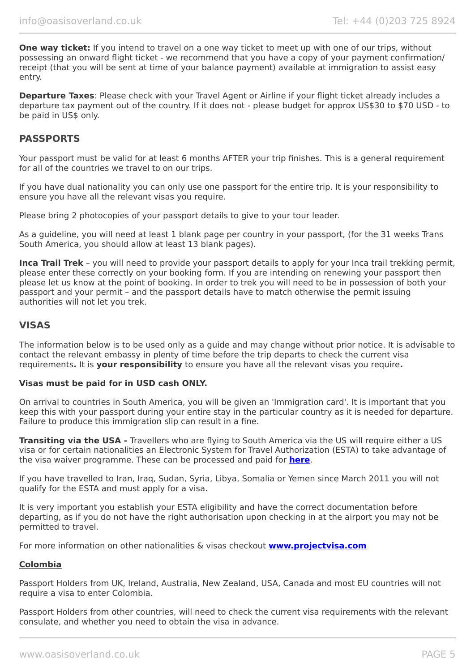**One way ticket:** If you intend to travel on a one way ticket to meet up with one of our trips, without possessing an onward flight ticket - we recommend that you have a copy of your payment confirmation/ receipt (that you will be sent at time of your balance payment) available at immigration to assist easy entry.

**Departure Taxes:** Please check with your Travel Agent or Airline if your flight ticket already includes a departure tax payment out of the country. If it does not - please budget for approx US\$30 to \$70 USD - to be paid in US\$ only.

### **PASSPORTS**

Your passport must be valid for at least 6 months AFTER your trip finishes. This is a general requirement for all of the countries we travel to on our trips.

If you have dual nationality you can only use one passport for the entire trip. It is your responsibility to ensure you have all the relevant visas you require.

Please bring 2 photocopies of your passport details to give to your tour leader.

As a guideline, you will need at least 1 blank page per country in your passport, (for the 31 weeks Trans South America, you should allow at least 13 blank pages).

**Inca Trail Trek** – you will need to provide your passport details to apply for your Inca trail trekking permit, please enter these correctly on your booking form. If you are intending on renewing your passport then please let us know at the point of booking. In order to trek you will need to be in possession of both your passport and your permit – and the passport details have to match otherwise the permit issuing authorities will not let you trek.

### **VISAS**

The information below is to be used only as a guide and may change without prior notice. It is advisable to contact the relevant embassy in plenty of time before the trip departs to check the current visa requirements**.** It is **your responsibility** to ensure you have all the relevant visas you require**.**

#### **Visas must be paid for in USD cash ONLY.**

On arrival to countries in South America, you will be given an 'Immigration card'. It is important that you keep this with your passport during your entire stay in the particular country as it is needed for departure. Failure to produce this immigration slip can result in a fine.

**Transiting via the USA -** Travellers who are flying to South America via the US will require either a US visa or for certain nationalities an Electronic System for Travel Authorization (ESTA) to take advantage of the visa waiver programme. These can be processed and paid for **[here](https://esta.cbp.dhs.gov/esta/)**.

If you have travelled to Iran, Iraq, Sudan, Syria, Libya, Somalia or Yemen since March 2011 you will not qualify for the ESTA and must apply for a visa.

It is very important you establish your ESTA eligibility and have the correct documentation before departing, as if you do not have the right authorisation upon checking in at the airport you may not be permitted to travel.

For more information on other nationalities & visas checkout **[www.projectvisa.com](http://www.projectvisa.com/)**

#### **Colombia**

Passport Holders from UK, Ireland, Australia, New Zealand, USA, Canada and most EU countries will not require a visa to enter Colombia.

Passport Holders from other countries, will need to check the current visa requirements with the relevant consulate, and whether you need to obtain the visa in advance.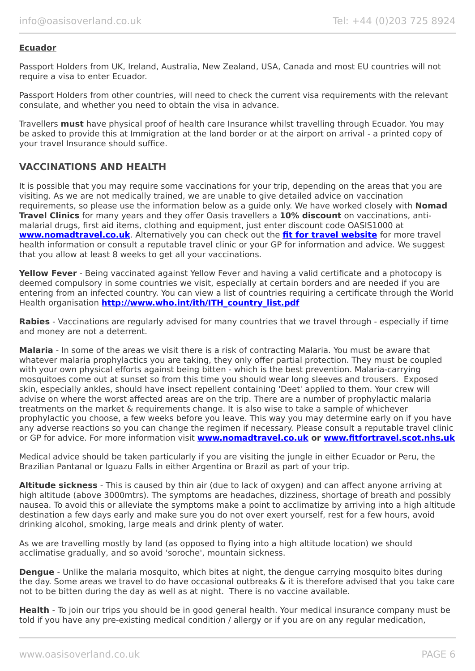#### **Ecuador**

Passport Holders from UK, Ireland, Australia, New Zealand, USA, Canada and most EU countries will not require a visa to enter Ecuador.

Passport Holders from other countries, will need to check the current visa requirements with the relevant consulate, and whether you need to obtain the visa in advance.

Travellers **must** have physical proof of health care Insurance whilst travelling through Ecuador. You may be asked to provide this at Immigration at the land border or at the airport on arrival - a printed copy of your travel Insurance should suffice.

# **VACCINATIONS AND HEALTH**

It is possible that you may require some vaccinations for your trip, depending on the areas that you are visiting. As we are not medically trained, we are unable to give detailed advice on vaccination requirements, so please use the information below as a guide only. We have worked closely with **Nomad Travel Clinics** for many years and they offer Oasis travellers a **10% discount** on vaccinations, antimalarial drugs, first aid items, clothing and equipment, just enter discount code OASIS1000 at **[www.nomadtravel.co.uk](http://www.nomadtravel.co.uk/)**. Alternatively you can check out the **[fit for travel website](http://www.fitfortravel.scot.nhs.uk/home.aspx)** for more travel health information or consult a reputable travel clinic or your GP for information and advice. We suggest that you allow at least 8 weeks to get all your vaccinations.

**Yellow Fever** - Being vaccinated against Yellow Fever and having a valid certificate and a photocopy is deemed compulsory in some countries we visit, especially at certain borders and are needed if you are entering from an infected country. You can view a list of countries requiring a certificate through the World Health organisation **[http://www.who.int/ith/ITH\\_country\\_list.pdf](http://www.who.int/ith/ITH_country_list.pdf)** 

**Rabies** - Vaccinations are regularly advised for many countries that we travel through - especially if time and money are not a deterrent.

**Malaria** - In some of the areas we visit there is a risk of contracting Malaria. You must be aware that whatever malaria prophylactics you are taking, they only offer partial protection. They must be coupled with your own physical efforts against being bitten - which is the best prevention. Malaria-carrying mosquitoes come out at sunset so from this time you should wear long sleeves and trousers. Exposed skin, especially ankles, should have insect repellent containing 'Deet' applied to them. Your crew will advise on where the worst affected areas are on the trip. There are a number of prophylactic malaria treatments on the market & requirements change. It is also wise to take a sample of whichever prophylactic you choose, a few weeks before you leave. This way you may determine early on if you have any adverse reactions so you can change the regimen if necessary. Please consult a reputable travel clinic or GP for advice. For more information visit **[www.nomadtravel.co.uk](https://www.nomadtravel.co.uk/) or [www.fitfortravel.scot.nhs.uk](http://www.fitfortravel.scot.nhs.uk/)**

Medical advice should be taken particularly if you are visiting the jungle in either Ecuador or Peru, the Brazilian Pantanal or Iguazu Falls in either Argentina or Brazil as part of your trip.

**Altitude sickness** - This is caused by thin air (due to lack of oxygen) and can affect anyone arriving at high altitude (above 3000mtrs). The symptoms are headaches, dizziness, shortage of breath and possibly nausea. To avoid this or alleviate the symptoms make a point to acclimatize by arriving into a high altitude destination a few days early and make sure you do not over exert yourself, rest for a few hours, avoid drinking alcohol, smoking, large meals and drink plenty of water.

As we are travelling mostly by land (as opposed to flying into a high altitude location) we should acclimatise gradually, and so avoid 'soroche', mountain sickness.

**Dengue** - Unlike the malaria mosquito, which bites at night, the dengue carrying mosquito bites during the day. Some areas we travel to do have occasional outbreaks & it is therefore advised that you take care not to be bitten during the day as well as at night. There is no vaccine available.

**Health** - To join our trips you should be in good general health. Your medical insurance company must be told if you have any pre-existing medical condition / allergy or if you are on any regular medication,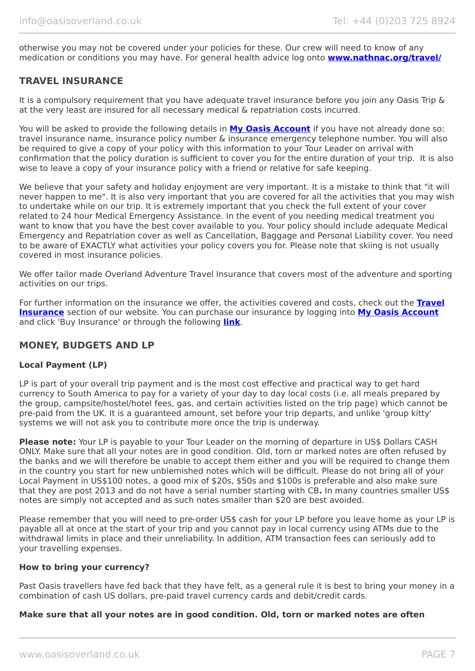otherwise you may not be covered under your policies for these. Our crew will need to know of any medication or conditions you may have. For general health advice log onto **[www.nathnac.org/travel/](http://www.nathnac.org/travel/index.htm)**

# **TRAVEL INSURANCE**

It is a compulsory requirement that you have adequate travel insurance before you join any Oasis Trip & at the very least are insured for all necessary medical & repatriation costs incurred.

You will be asked to provide the following details in **My [Oasis Account](https://oasisportal.eecsoftware.com/)** if you have not already done so: travel insurance name, insurance policy number & insurance emergency telephone number. You will also be required to give a copy of your policy with this information to your Tour Leader on arrival with confirmation that the policy duration is sufficient to cover you for the entire duration of your trip. It is also wise to leave a copy of your insurance policy with a friend or relative for safe keeping.

We believe that your safety and holiday enjoyment are very important. It is a mistake to think that "it will never happen to me". It is also very important that you are covered for all the activities that you may wish to undertake while on our trip. It is extremely important that you check the full extent of your cover related to 24 hour Medical Emergency Assistance. In the event of you needing medical treatment you want to know that you have the best cover available to you. Your policy should include adequate Medical Emergency and Repatriation cover as well as Cancellation, Baggage and Personal Liability cover. You need to be aware of EXACTLY what activities your policy covers you for. Please note that skiing is not usually covered in most insurance policies.

We offer tailor made Overland Adventure Travel Insurance that covers most of the adventure and sporting activities on our trips.

For further information on the insurance we offer, the activities covered and costs, check out the **[Travel](https://www.oasisoverland.co.uk/travel-insurance) [Insurance](https://www.oasisoverland.co.uk/travel-insurance)** section of our website. You can purchase our insurance by logging into **[My Oasis Account](https://oasisportal.eecsoftware.com/)** and click 'Buy Insurance' or through the following **[link](https://www.campbellirvinedirect.com/oasisoverland/)**.

### **MONEY, BUDGETS AND LP**

#### **Local Payment (LP)**

LP is part of your overall trip payment and is the most cost effective and practical way to get hard currency to South America to pay for a variety of your day to day local costs (i.e. all meals prepared by the group, campsite/hostel/hotel fees, gas, and certain activities listed on the trip page) which cannot be pre-paid from the UK. It is a guaranteed amount, set before your trip departs, and unlike 'group kitty' systems we will not ask you to contribute more once the trip is underway.

**Please note:** Your LP is payable to your Tour Leader on the morning of departure in US\$ Dollars CASH ONLY. Make sure that all your notes are in good condition. Old, torn or marked notes are often refused by the banks and we will therefore be unable to accept them either and you will be required to change them in the country you start for new unblemished notes which will be difficult. Please do not bring all of your Local Payment in US\$100 notes, a good mix of \$20s, \$50s and \$100s is preferable and also make sure that they are post 2013 and do not have a serial number starting with CB**.** In many countries smaller US\$ notes are simply not accepted and as such notes smaller than \$20 are best avoided.

Please remember that you will need to pre-order US\$ cash for your LP before you leave home as your LP is payable all at once at the start of your trip and you cannot pay in local currency using ATMs due to the withdrawal limits in place and their unreliability. In addition, ATM transaction fees can seriously add to your travelling expenses.

#### **How to bring your currency?**

Past Oasis travellers have fed back that they have felt, as a general rule it is best to bring your money in a combination of cash US dollars, pre-paid travel currency cards and debit/credit cards.

#### **Make sure that all your notes are in good condition. Old, torn or marked notes are often**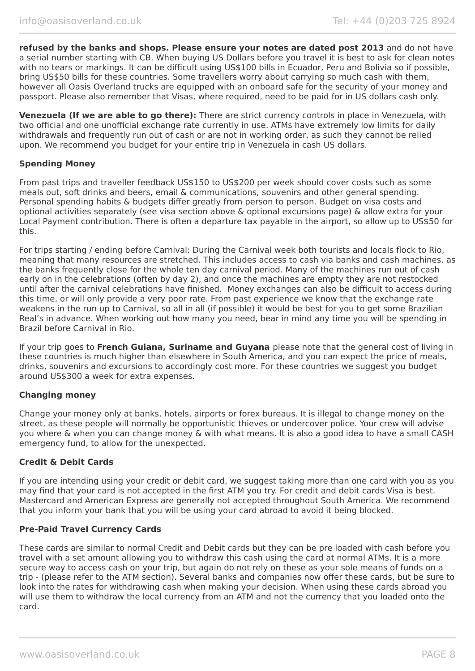**refused by the banks and shops. Please ensure your notes are dated post 2013** and do not have a serial number starting with CB. When buying US Dollars before you travel it is best to ask for clean notes with no tears or markings. It can be difficult using US\$100 bills in Ecuador, Peru and Bolivia so if possible, bring US\$50 bills for these countries. Some travellers worry about carrying so much cash with them, however all Oasis Overland trucks are equipped with an onboard safe for the security of your money and passport. Please also remember that Visas, where required, need to be paid for in US dollars cash only.

**Venezuela (If we are able to go there):** There are strict currency controls in place in Venezuela, with two official and one unofficial exchange rate currently in use. ATMs have extremely low limits for daily withdrawals and frequently run out of cash or are not in working order, as such they cannot be relied upon. We recommend you budget for your entire trip in Venezuela in cash US dollars.

#### **Spending Money**

From past trips and traveller feedback US\$150 to US\$200 per week should cover costs such as some meals out, soft drinks and beers, email & communications, souvenirs and other general spending. Personal spending habits & budgets differ greatly from person to person. Budget on visa costs and optional activities separately (see visa section above & optional excursions page) & allow extra for your Local Payment contribution. There is often a departure tax payable in the airport, so allow up to US\$50 for this.

For trips starting / ending before Carnival: During the Carnival week both tourists and locals flock to Rio, meaning that many resources are stretched. This includes access to cash via banks and cash machines, as the banks frequently close for the whole ten day carnival period. Many of the machines run out of cash early on in the celebrations (often by day 2), and once the machines are empty they are not restocked until after the carnival celebrations have finished. Money exchanges can also be difficult to access during this time, or will only provide a very poor rate. From past experience we know that the exchange rate weakens in the run up to Carnival, so all in all (if possible) it would be best for you to get some Brazilian Real's in advance. When working out how many you need, bear in mind any time you will be spending in Brazil before Carnival in Rio.

If your trip goes to **French Guiana, Suriname and Guyana** please note that the general cost of living in these countries is much higher than elsewhere in South America, and you can expect the price of meals, drinks, souvenirs and excursions to accordingly cost more. For these countries we suggest you budget around US\$300 a week for extra expenses.

### **Changing money**

Change your money only at banks, hotels, airports or forex bureaus. It is illegal to change money on the street, as these people will normally be opportunistic thieves or undercover police. Your crew will advise you where & when you can change money & with what means. It is also a good idea to have a small CASH emergency fund, to allow for the unexpected.

#### **Credit & Debit Cards**

If you are intending using your credit or debit card, we suggest taking more than one card with you as you may find that your card is not accepted in the first ATM you try. For credit and debit cards Visa is best. Mastercard and American Express are generally not accepted throughout South America. We recommend that you inform your bank that you will be using your card abroad to avoid it being blocked.

#### **Pre-Paid Travel Currency Cards**

These cards are similar to normal Credit and Debit cards but they can be pre loaded with cash before you travel with a set amount allowing you to withdraw this cash using the card at normal ATMs. It is a more secure way to access cash on your trip, but again do not rely on these as your sole means of funds on a trip - (please refer to the ATM section). Several banks and companies now offer these cards, but be sure to look into the rates for withdrawing cash when making your decision. When using these cards abroad you will use them to withdraw the local currency from an ATM and not the currency that you loaded onto the card.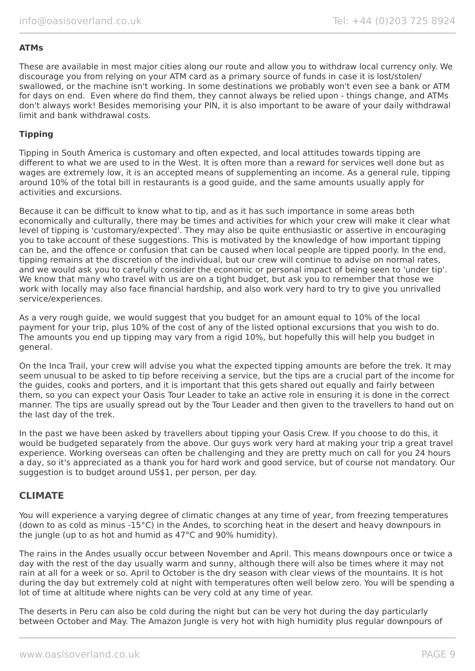#### **ATMs**

These are available in most major cities along our route and allow you to withdraw local currency only. We discourage you from relying on your ATM card as a primary source of funds in case it is lost/stolen/ swallowed, or the machine isn't working. In some destinations we probably won't even see a bank or ATM for days on end. Even where do find them, they cannot always be relied upon - things change, and ATMs don't always work! Besides memorising your PIN, it is also important to be aware of your daily withdrawal limit and bank withdrawal costs.

#### **Tipping**

Tipping in South America is customary and often expected, and local attitudes towards tipping are different to what we are used to in the West. It is often more than a reward for services well done but as wages are extremely low, it is an accepted means of supplementing an income. As a general rule, tipping around 10% of the total bill in restaurants is a good guide, and the same amounts usually apply for activities and excursions.

Because it can be difficult to know what to tip, and as it has such importance in some areas both economically and culturally, there may be times and activities for which your crew will make it clear what level of tipping is 'customary/expected'. They may also be quite enthusiastic or assertive in encouraging you to take account of these suggestions. This is motivated by the knowledge of how important tipping can be, and the offence or confusion that can be caused when local people are tipped poorly. In the end, tipping remains at the discretion of the individual, but our crew will continue to advise on normal rates, and we would ask you to carefully consider the economic or personal impact of being seen to 'under tip'. We know that many who travel with us are on a tight budget, but ask you to remember that those we work with locally may also face financial hardship, and also work very hard to try to give you unrivalled service/experiences.

As a very rough guide, we would suggest that you budget for an amount equal to 10% of the local payment for your trip, plus 10% of the cost of any of the listed optional excursions that you wish to do. The amounts you end up tipping may vary from a rigid 10%, but hopefully this will help you budget in general.

On the Inca Trail, your crew will advise you what the expected tipping amounts are before the trek. It may seem unusual to be asked to tip before receiving a service, but the tips are a crucial part of the income for the guides, cooks and porters, and it is important that this gets shared out equally and fairly between them, so you can expect your Oasis Tour Leader to take an active role in ensuring it is done in the correct manner. The tips are usually spread out by the Tour Leader and then given to the travellers to hand out on the last day of the trek.

In the past we have been asked by travellers about tipping your Oasis Crew. If you choose to do this, it would be budgeted separately from the above. Our guys work very hard at making your trip a great travel experience. Working overseas can often be challenging and they are pretty much on call for you 24 hours a day, so it's appreciated as a thank you for hard work and good service, but of course not mandatory. Our suggestion is to budget around US\$1, per person, per day.

### **CLIMATE**

You will experience a varying degree of climatic changes at any time of year, from freezing temperatures (down to as cold as minus -15°C) in the Andes, to scorching heat in the desert and heavy downpours in the jungle (up to as hot and humid as 47°C and 90% humidity).

The rains in the Andes usually occur between November and April. This means downpours once or twice a day with the rest of the day usually warm and sunny, although there will also be times where it may not rain at all for a week or so. April to October is the dry season with clear views of the mountains. It is hot during the day but extremely cold at night with temperatures often well below zero. You will be spending a lot of time at altitude where nights can be very cold at any time of year.

The deserts in Peru can also be cold during the night but can be very hot during the day particularly between October and May. The Amazon Jungle is very hot with high humidity plus regular downpours of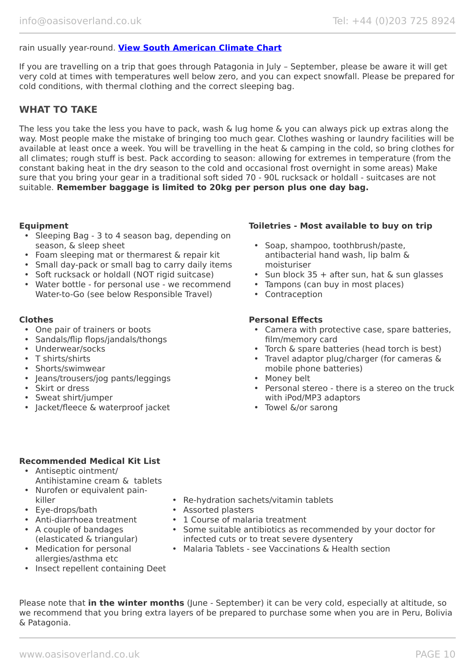#### rain usually year-round. **[View South American Climate Chart](https://www.oasisoverland.co.uk/south-american-climate-chart)**

If you are travelling on a trip that goes through Patagonia in July – September, please be aware it will get very cold at times with temperatures well below zero, and you can expect snowfall. Please be prepared for cold conditions, with thermal clothing and the correct sleeping bag.

## **WHAT TO TAKE**

The less you take the less you have to pack, wash & lug home & you can always pick up extras along the way. Most people make the mistake of bringing too much gear. Clothes washing or laundry facilities will be available at least once a week. You will be travelling in the heat & camping in the cold, so bring clothes for all climates; rough stuff is best. Pack according to season: allowing for extremes in temperature (from the constant baking heat in the dry season to the cold and occasional frost overnight in some areas) Make sure that you bring your gear in a traditional soft sided 70 - 90L rucksack or holdall - suitcases are not suitable. **Remember baggage is limited to 20kg per person plus one day bag.**

- Sleeping Bag 3 to 4 season bag, depending on season, & sleep sheet
- Foam sleeping mat or thermarest & repair kit
- Small day-pack or small bag to carry daily items
- Soft rucksack or holdall (NOT rigid suitcase)
- Water bottle for personal use we recommend Water-to-Go (see below Responsible Travel)

- One pair of trainers or boots
- Sandals/flip flops/jandals/thongs
- Underwear/socks
- T shirts/shirts
- Shorts/swimwear
- Jeans/trousers/jog pants/leggings
- Skirt or dress
- Sweat shirt/jumper
- Jacket/fleece & waterproof jacket

#### **Equipment Toiletries - Most available to buy on trip**

- Soap, shampoo, toothbrush/paste, antibacterial hand wash, lip balm & moisturiser
- Sun block  $35 +$  after sun, hat & sun glasses
- Tampons (can buy in most places)
- Contraception

#### **Clothes Personal Effects**

- Camera with protective case, spare batteries, film/memory card
- Torch & spare batteries (head torch is best)
- Travel adaptor plug/charger (for cameras & mobile phone batteries)
- Money belt
- Personal stereo there is a stereo on the truck with iPod/MP3 adaptors
- Towel &/or sarong

#### **Recommended Medical Kit List**

- Antiseptic ointment/ Antihistamine cream & tablets
- Nurofen or equivalent painkiller
- Eye-drops/bath
- Anti-diarrhoea treatment
- A couple of bandages (elasticated & triangular)
- Medication for personal allergies/asthma etc

• Insect repellent containing Deet

- Re-hydration sachets/vitamin tablets
- Assorted plasters
- 1 Course of malaria treatment
- Some suitable antibiotics as recommended by your doctor for infected cuts or to treat severe dysentery
- Malaria Tablets see Vaccinations & Health section

Please note that **in the winter months** (June - September) it can be very cold, especially at altitude, so we recommend that you bring extra layers of be prepared to purchase some when you are in Peru, Bolivia & Patagonia.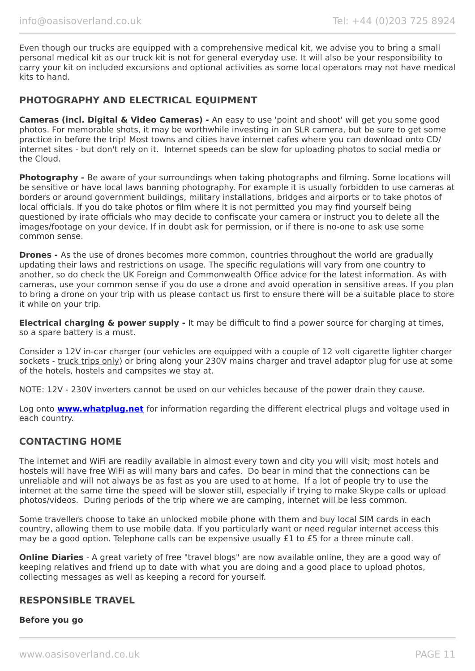Even though our trucks are equipped with a comprehensive medical kit, we advise you to bring a small personal medical kit as our truck kit is not for general everyday use. It will also be your responsibility to carry your kit on included excursions and optional activities as some local operators may not have medical kits to hand.

# **PHOTOGRAPHY AND ELECTRICAL EQUIPMENT**

**Cameras (incl. Digital & Video Cameras) -** An easy to use 'point and shoot' will get you some good photos. For memorable shots, it may be worthwhile investing in an SLR camera, but be sure to get some practice in before the trip! Most towns and cities have internet cafes where you can download onto CD/ internet sites - but don't rely on it. Internet speeds can be slow for uploading photos to social media or the Cloud.

**Photography -** Be aware of your surroundings when taking photographs and filming. Some locations will be sensitive or have local laws banning photography. For example it is usually forbidden to use cameras at borders or around government buildings, military installations, bridges and airports or to take photos of local officials. If you do take photos or film where it is not permitted you may find yourself being questioned by irate officials who may decide to confiscate your camera or instruct you to delete all the images/footage on your device. If in doubt ask for permission, or if there is no-one to ask use some common sense.

**Drones -** As the use of drones becomes more common, countries throughout the world are gradually updating their laws and restrictions on usage. The specific regulations will vary from one country to another, so do check the UK Foreign and Commonwealth Office advice for the latest information. As with cameras, use your common sense if you do use a drone and avoid operation in sensitive areas. If you plan to bring a drone on your trip with us please contact us first to ensure there will be a suitable place to store it while on your trip.

**Electrical charging & power supply -** It may be difficult to find a power source for charging at times, so a spare battery is a must.

Consider a 12V in-car charger (our vehicles are equipped with a couple of 12 volt cigarette lighter charger sockets - truck trips only) or bring along your 230V mains charger and travel adaptor plug for use at some of the hotels, hostels and campsites we stay at.

NOTE: 12V - 230V inverters cannot be used on our vehicles because of the power drain they cause.

Log onto **[www.whatplug.net](http://www.whatplug.net/)** for information regarding the different electrical plugs and voltage used in each country.

# **CONTACTING HOME**

The internet and WiFi are readily available in almost every town and city you will visit; most hotels and hostels will have free WiFi as will many bars and cafes. Do bear in mind that the connections can be unreliable and will not always be as fast as you are used to at home. If a lot of people try to use the internet at the same time the speed will be slower still, especially if trying to make Skype calls or upload photos/videos. During periods of the trip where we are camping, internet will be less common.

Some travellers choose to take an unlocked mobile phone with them and buy local SIM cards in each country, allowing them to use mobile data. If you particularly want or need regular internet access this may be a good option. Telephone calls can be expensive usually £1 to £5 for a three minute call.

**Online Diaries** - A great variety of free "travel blogs" are now available online, they are a good way of keeping relatives and friend up to date with what you are doing and a good place to upload photos, collecting messages as well as keeping a record for yourself.

### **RESPONSIBLE TRAVEL**

#### **Before you go**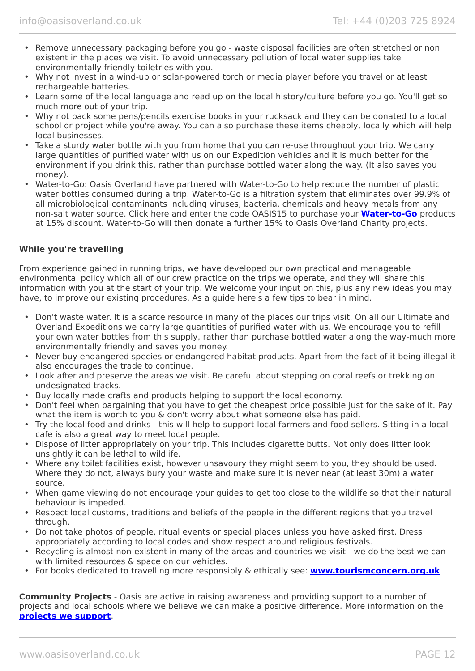- Remove unnecessary packaging before you go waste disposal facilities are often stretched or non existent in the places we visit. To avoid unnecessary pollution of local water supplies take environmentally friendly toiletries with you.
- Why not invest in a wind-up or solar-powered torch or media player before you travel or at least rechargeable batteries.
- Learn some of the local language and read up on the local history/culture before you go. You'll get so much more out of your trip.
- Why not pack some pens/pencils exercise books in your rucksack and they can be donated to a local school or project while you're away. You can also purchase these items cheaply, locally which will help local businesses.
- Take a sturdy water bottle with you from home that you can re-use throughout your trip. We carry large quantities of purified water with us on our Expedition vehicles and it is much better for the environment if you drink this, rather than purchase bottled water along the way. (It also saves you money).
- Water-to-Go: Oasis Overland have partnered with Water-to-Go to help reduce the number of plastic water bottles consumed during a trip. Water-to-Go is a filtration system that eliminates over 99.9% of all microbiological contaminants including viruses, bacteria, chemicals and heavy metals from any non-salt water source. Click here and enter the code OASIS15 to purchase your **[Water-to-Go](https://watertogo.eu/partnerships/oasisoverland/)** products at 15% discount. Water-to-Go will then donate a further 15% to Oasis Overland Charity projects.

#### **While you're travelling**

From experience gained in running trips, we have developed our own practical and manageable environmental policy which all of our crew practice on the trips we operate, and they will share this information with you at the start of your trip. We welcome your input on this, plus any new ideas you may have, to improve our existing procedures. As a guide here's a few tips to bear in mind.

- Don't waste water. It is a scarce resource in many of the places our trips visit. On all our Ultimate and Overland Expeditions we carry large quantities of purified water with us. We encourage you to refill your own water bottles from this supply, rather than purchase bottled water along the way-much more environmentally friendly and saves you money.
- Never buy endangered species or endangered habitat products. Apart from the fact of it being illegal it also encourages the trade to continue.
- Look after and preserve the areas we visit. Be careful about stepping on coral reefs or trekking on undesignated tracks.
- Buy locally made crafts and products helping to support the local economy.
- Don't feel when bargaining that you have to get the cheapest price possible just for the sake of it. Pay what the item is worth to you & don't worry about what someone else has paid.
- Try the local food and drinks this will help to support local farmers and food sellers. Sitting in a local cafe is also a great way to meet local people.
- Dispose of litter appropriately on your trip. This includes cigarette butts. Not only does litter look unsightly it can be lethal to wildlife.
- Where any toilet facilities exist, however unsavoury they might seem to you, they should be used. Where they do not, always bury your waste and make sure it is never near (at least 30m) a water source.
- When game viewing do not encourage your guides to get too close to the wildlife so that their natural behaviour is impeded.
- Respect local customs, traditions and beliefs of the people in the different regions that you travel through.
- Do not take photos of people, ritual events or special places unless you have asked first. Dress appropriately according to local codes and show respect around religious festivals.
- Recycling is almost non-existent in many of the areas and countries we visit we do the best we can with limited resources & space on our vehicles.
- For books dedicated to travelling more responsibly & ethically see: **[www.tourismconcern.org.uk](https://www.tourismconcern.org.uk/)**

**Community Projects** - Oasis are active in raising awareness and providing support to a number of projects and local schools where we believe we can make a positive difference. More information on the **[projects we support](https://www.oasisoverland.co.uk/responsible-travel/charities-we-support)**.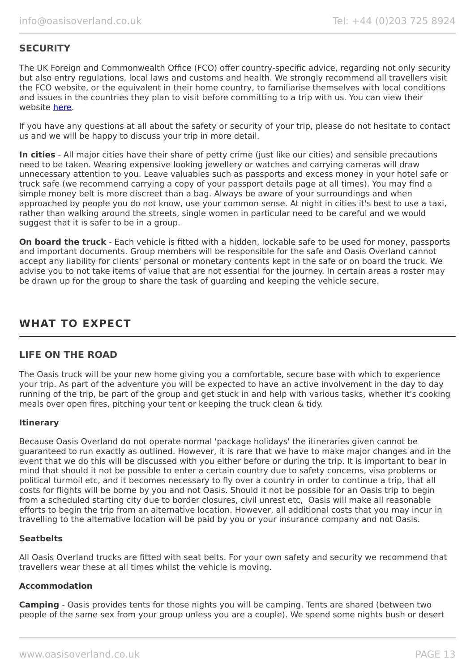# **SECURITY**

The UK Foreign and Commonwealth Office (FCO) offer country-specific advice, regarding not only security but also entry regulations, local laws and customs and health. We strongly recommend all travellers visit the FCO website, or the equivalent in their home country, to familiarise themselves with local conditions and issues in the countries they plan to visit before committing to a trip with us. You can view their website [here.](https://www.gov.uk/foreign-travel-advice)

If you have any questions at all about the safety or security of your trip, please do not hesitate to contact us and we will be happy to discuss your trip in more detail.

**In cities** - All major cities have their share of petty crime (just like our cities) and sensible precautions need to be taken. Wearing expensive looking jewellery or watches and carrying cameras will draw unnecessary attention to you. Leave valuables such as passports and excess money in your hotel safe or truck safe (we recommend carrying a copy of your passport details page at all times). You may find a simple money belt is more discreet than a bag. Always be aware of your surroundings and when approached by people you do not know, use your common sense. At night in cities it's best to use a taxi, rather than walking around the streets, single women in particular need to be careful and we would suggest that it is safer to be in a group.

**On board the truck** - Each vehicle is fitted with a hidden, lockable safe to be used for money, passports and important documents. Group members will be responsible for the safe and Oasis Overland cannot accept any liability for clients' personal or monetary contents kept in the safe or on board the truck. We advise you to not take items of value that are not essential for the journey. In certain areas a roster may be drawn up for the group to share the task of guarding and keeping the vehicle secure.

# **WHAT TO EXPECT**

# **LIFE ON THE ROAD**

The Oasis truck will be your new home giving you a comfortable, secure base with which to experience your trip. As part of the adventure you will be expected to have an active involvement in the day to day running of the trip, be part of the group and get stuck in and help with various tasks, whether it's cooking meals over open fires, pitching your tent or keeping the truck clean & tidy.

### **Itinerary**

Because Oasis Overland do not operate normal 'package holidays' the itineraries given cannot be guaranteed to run exactly as outlined. However, it is rare that we have to make major changes and in the event that we do this will be discussed with you either before or during the trip. It is important to bear in mind that should it not be possible to enter a certain country due to safety concerns, visa problems or political turmoil etc, and it becomes necessary to fly over a country in order to continue a trip, that all costs for flights will be borne by you and not Oasis. Should it not be possible for an Oasis trip to begin from a scheduled starting city due to border closures, civil unrest etc, Oasis will make all reasonable efforts to begin the trip from an alternative location. However, all additional costs that you may incur in travelling to the alternative location will be paid by you or your insurance company and not Oasis.

#### **Seatbelts**

All Oasis Overland trucks are fitted with seat belts. For your own safety and security we recommend that travellers wear these at all times whilst the vehicle is moving.

#### **Accommodation**

**Camping** - Oasis provides tents for those nights you will be camping. Tents are shared (between two people of the same sex from your group unless you are a couple). We spend some nights bush or desert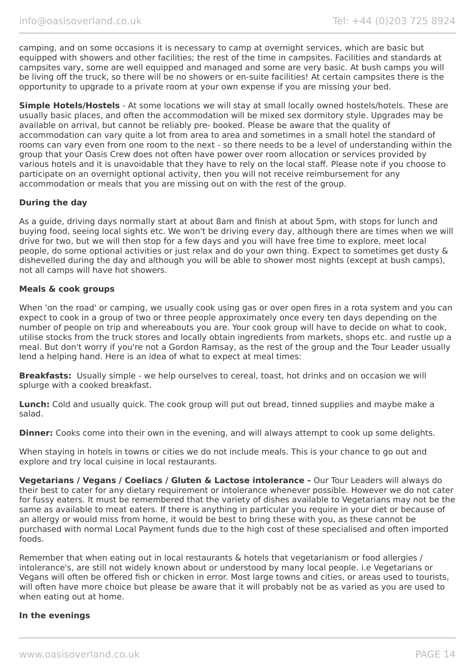camping, and on some occasions it is necessary to camp at overnight services, which are basic but equipped with showers and other facilities; the rest of the time in campsites. Facilities and standards at campsites vary, some are well equipped and managed and some are very basic. At bush camps you will be living off the truck, so there will be no showers or en-suite facilities! At certain campsites there is the opportunity to upgrade to a private room at your own expense if you are missing your bed.

**Simple Hotels/Hostels** - At some locations we will stay at small locally owned hostels/hotels. These are usually basic places, and often the accommodation will be mixed sex dormitory style. Upgrades may be available on arrival, but cannot be reliably pre- booked. Please be aware that the quality of accommodation can vary quite a lot from area to area and sometimes in a small hotel the standard of rooms can vary even from one room to the next - so there needs to be a level of understanding within the group that your Oasis Crew does not often have power over room allocation or services provided by various hotels and it is unavoidable that they have to rely on the local staff. Please note if you choose to participate on an overnight optional activity, then you will not receive reimbursement for any accommodation or meals that you are missing out on with the rest of the group.

#### **During the day**

As a guide, driving days normally start at about 8am and finish at about 5pm, with stops for lunch and buying food, seeing local sights etc. We won't be driving every day, although there are times when we will drive for two, but we will then stop for a few days and you will have free time to explore, meet local people, do some optional activities or just relax and do your own thing. Expect to sometimes get dusty & dishevelled during the day and although you will be able to shower most nights (except at bush camps), not all camps will have hot showers.

#### **Meals & cook groups**

When 'on the road' or camping, we usually cook using gas or over open fires in a rota system and you can expect to cook in a group of two or three people approximately once every ten days depending on the number of people on trip and whereabouts you are. Your cook group will have to decide on what to cook, utilise stocks from the truck stores and locally obtain ingredients from markets, shops etc. and rustle up a meal. But don't worry if you're not a Gordon Ramsay, as the rest of the group and the Tour Leader usually lend a helping hand. Here is an idea of what to expect at meal times:

**Breakfasts:** Usually simple - we help ourselves to cereal, toast, hot drinks and on occasion we will splurge with a cooked breakfast.

**Lunch:** Cold and usually quick. The cook group will put out bread, tinned supplies and maybe make a salad.

**Dinner:** Cooks come into their own in the evening, and will always attempt to cook up some delights.

When staying in hotels in towns or cities we do not include meals. This is your chance to go out and explore and try local cuisine in local restaurants.

**Vegetarians / Vegans / Coeliacs / Gluten & Lactose intolerance -** Our Tour Leaders will always do their best to cater for any dietary requirement or intolerance whenever possible. However we do not cater for fussy eaters. It must be remembered that the variety of dishes available to Vegetarians may not be the same as available to meat eaters. If there is anything in particular you require in your diet or because of an allergy or would miss from home, it would be best to bring these with you, as these cannot be purchased with normal Local Payment funds due to the high cost of these specialised and often imported foods.

Remember that when eating out in local restaurants & hotels that vegetarianism or food allergies / intolerance's, are still not widely known about or understood by many local people. i.e Vegetarians or Vegans will often be offered fish or chicken in error. Most large towns and cities, or areas used to tourists, will often have more choice but please be aware that it will probably not be as varied as you are used to when eating out at home.

#### **In the evenings**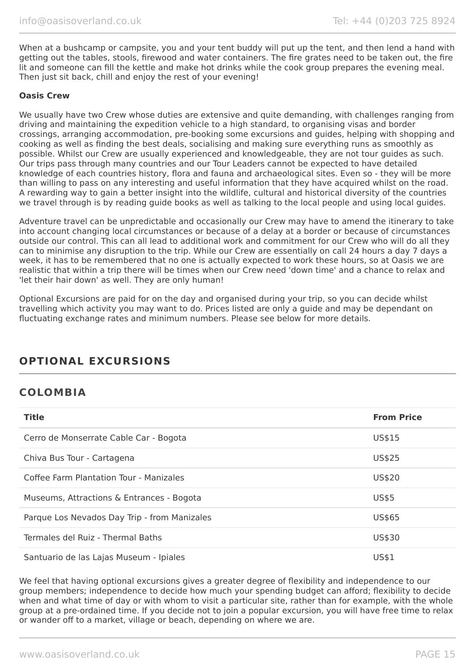When at a bushcamp or campsite, you and your tent buddy will put up the tent, and then lend a hand with getting out the tables, stools, firewood and water containers. The fire grates need to be taken out, the fire lit and someone can fill the kettle and make hot drinks while the cook group prepares the evening meal. Then just sit back, chill and enjoy the rest of your evening!

#### **Oasis Crew**

We usually have two Crew whose duties are extensive and quite demanding, with challenges ranging from driving and maintaining the expedition vehicle to a high standard, to organising visas and border crossings, arranging accommodation, pre-booking some excursions and guides, helping with shopping and cooking as well as finding the best deals, socialising and making sure everything runs as smoothly as possible. Whilst our Crew are usually experienced and knowledgeable, they are not tour guides as such. Our trips pass through many countries and our Tour Leaders cannot be expected to have detailed knowledge of each countries history, flora and fauna and archaeological sites. Even so - they will be more than willing to pass on any interesting and useful information that they have acquired whilst on the road. A rewarding way to gain a better insight into the wildlife, cultural and historical diversity of the countries we travel through is by reading guide books as well as talking to the local people and using local guides.

Adventure travel can be unpredictable and occasionally our Crew may have to amend the itinerary to take into account changing local circumstances or because of a delay at a border or because of circumstances outside our control. This can all lead to additional work and commitment for our Crew who will do all they can to minimise any disruption to the trip. While our Crew are essentially on call 24 hours a day 7 days a week, it has to be remembered that no one is actually expected to work these hours, so at Oasis we are realistic that within a trip there will be times when our Crew need 'down time' and a chance to relax and 'let their hair down' as well. They are only human!

Optional Excursions are paid for on the day and organised during your trip, so you can decide whilst travelling which activity you may want to do. Prices listed are only a guide and may be dependant on fluctuating exchange rates and minimum numbers. Please see below for more details.

# **OPTIONAL EXCURSIONS**

# **COLOMBIA**

| <b>Title</b>                                 | <b>From Price</b> |
|----------------------------------------------|-------------------|
| Cerro de Monserrate Cable Car - Bogota       | US\$15            |
| Chiva Bus Tour - Cartagena                   | US\$25            |
| Coffee Farm Plantation Tour - Manizales      | US\$20            |
| Museums, Attractions & Entrances - Bogota    | <b>US\$5</b>      |
| Parque Los Nevados Day Trip - from Manizales | US\$65            |
| Termales del Ruiz - Thermal Baths            | US\$30            |
| Santuario de las Lajas Museum - Ipiales      | US\$1             |

We feel that having optional excursions gives a greater degree of flexibility and independence to our group members; independence to decide how much your spending budget can afford; flexibility to decide when and what time of day or with whom to visit a particular site, rather than for example, with the whole group at a pre-ordained time. If you decide not to join a popular excursion, you will have free time to relax or wander off to a market, village or beach, depending on where we are.